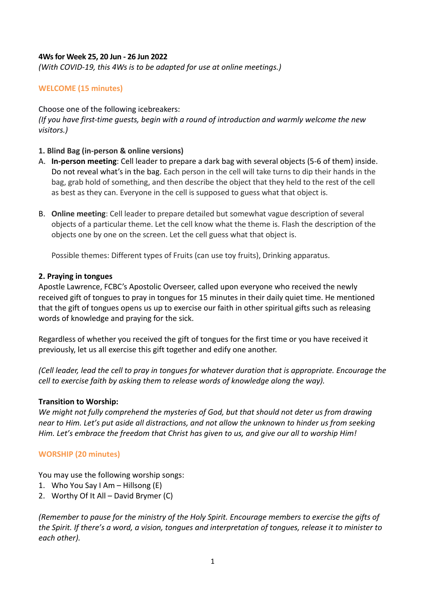## **4Ws for Week 25, 20 Jun - 26 Jun 2022**

*(With COVID-19, this 4Ws is to be adapted for use at online meetings.)*

# **WELCOME (15 minutes)**

### Choose one of the following icebreakers:

*(If you have first-time guests, begin with a round of introduction and warmly welcome the new visitors.)*

### **1. Blind Bag (in-person & online versions)**

- A. **In-person meeting**: Cell leader to prepare a dark bag with several objects (5-6 of them) inside. Do not reveal what's in the bag. Each person in the cell will take turns to dip their hands in the bag, grab hold of something, and then describe the object that they held to the rest of the cell as best as they can. Everyone in the cell is supposed to guess what that object is.
- B. **Online meeting**: Cell leader to prepare detailed but somewhat vague description of several objects of a particular theme. Let the cell know what the theme is. Flash the description of the objects one by one on the screen. Let the cell guess what that object is.

Possible themes: Different types of Fruits (can use toy fruits), Drinking apparatus.

#### **2. Praying in tongues**

Apostle Lawrence, FCBC's Apostolic Overseer, called upon everyone who received the newly received gift of tongues to pray in tongues for 15 minutes in their daily quiet time. He mentioned that the gift of tongues opens us up to exercise our faith in other spiritual gifts such as releasing words of knowledge and praying for the sick.

Regardless of whether you received the gift of tongues for the first time or you have received it previously, let us all exercise this gift together and edify one another.

*(Cell leader, lead the cell to pray in tongues for whatever duration that is appropriate. Encourage the cell to exercise faith by asking them to release words of knowledge along the way).*

#### **Transition to Worship:**

*We might not fully comprehend the mysteries of God, but that should not deter us from drawing near to Him. Let's put aside all distractions, and not allow the unknown to hinder us from seeking Him. Let's embrace the freedom that Christ has given to us, and give our all to worship Him!*

# **WORSHIP (20 minutes)**

You may use the following worship songs:

- 1. Who You Say I Am  $-$  Hillsong (E)
- 2. Worthy Of It All David Brymer (C)

*(Remember to pause for the ministry of the Holy Spirit. Encourage members to exercise the gifts of the Spirit. If there's a word, a vision, tongues and interpretation of tongues, release it to minister to each other).*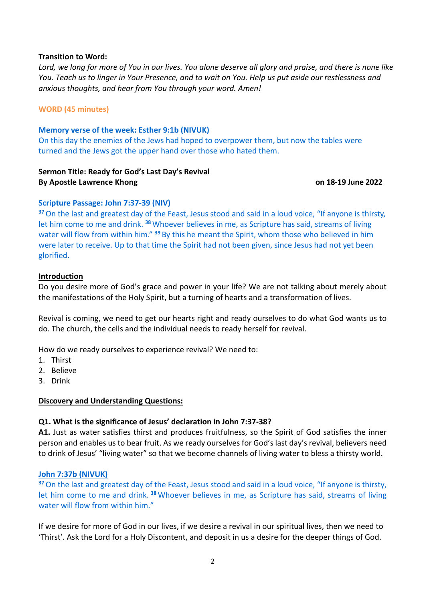#### **Transition to Word:**

*Lord, we long for more of You in our lives. You alone deserve all glory and praise, and there is none like You. Teach us to linger in Your Presence, and to wait on You. Help us put aside our restlessness and anxious thoughts, and hear from You through your word. Amen!*

## **WORD (45 minutes)**

### **Memory verse of the week: Esther 9:1b (NIVUK)**

On this day the enemies of the Jews had hoped to overpower them, but now the tables were turned and the Jews got the upper hand over those who hated them.

# **Sermon Title: Ready for God's Last Day's Revival By Apostle Lawrence Khong on 18-19 June 2022**

## **Scripture Passage: John 7:37-39 (NIV)**

**<sup>37</sup>**On the last and greatest day of the Feast, Jesus stood and said in a loud voice, "If anyone is thirsty, let him come to me and drink. **<sup>38</sup>** Whoever believes in me, as Scripture has said, streams of living water will flow from within him." <sup>39</sup> By this he meant the Spirit, whom those who believed in him were later to receive. Up to that time the Spirit had not been given, since Jesus had not yet been glorified.

#### **Introduction**

Do you desire more of God's grace and power in your life? We are not talking about merely about the manifestations of the Holy Spirit, but a turning of hearts and a transformation of lives.

Revival is coming, we need to get our hearts right and ready ourselves to do what God wants us to do. The church, the cells and the individual needs to ready herself for revival.

How do we ready ourselves to experience revival? We need to:

- 1. Thirst
- 2. Believe
- 3. Drink

#### **Discovery and Understanding Questions:**

# **Q1. What is the significance of Jesus' declaration in John 7:37-38?**

**A1.** Just as water satisfies thirst and produces fruitfulness, so the Spirit of God satisfies the inner person and enables us to bear fruit. As we ready ourselves for God's last day's revival, believers need to drink of Jesus' "living water" so that we become channels of living water to bless a thirsty world.

#### **John 7:37b (NIVUK)**

**<sup>37</sup>**On the last and greatest day of the Feast, Jesus stood and said in a loud voice, "If anyone is thirsty, let him come to me and drink. **<sup>38</sup>** Whoever believes in me, as Scripture has said, streams of living water will flow from within him."

If we desire for more of God in our lives, if we desire a revival in our spiritual lives, then we need to 'Thirst'. Ask the Lord for a Holy Discontent, and deposit in us a desire for the deeper things of God.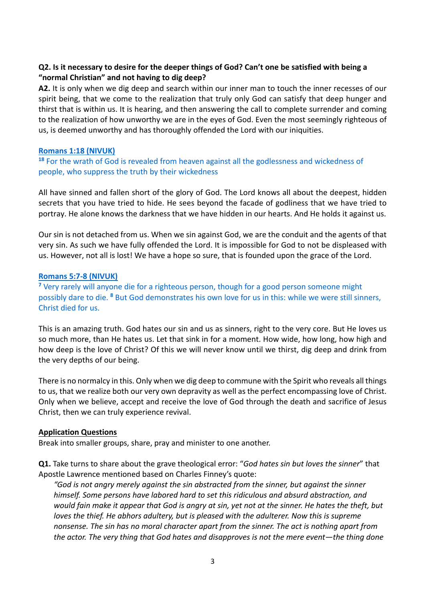# **Q2. Is it necessary to desire for the deeper things of God? Can't one be satisfied with being a "normal Christian" and not having to dig deep?**

**A2.** It is only when we dig deep and search within our inner man to touch the inner recesses of our spirit being, that we come to the realization that truly only God can satisfy that deep hunger and thirst that is within us. It is hearing, and then answering the call to complete surrender and coming to the realization of how unworthy we are in the eyes of God. Even the most seemingly righteous of us, is deemed unworthy and has thoroughly offended the Lord with our iniquities.

#### **Romans 1:18 (NIVUK)**

**<sup>18</sup>** For the wrath of God is revealed from heaven against all the godlessness and wickedness of people, who suppress the truth by their wickedness

All have sinned and fallen short of the glory of God. The Lord knows all about the deepest, hidden secrets that you have tried to hide. He sees beyond the facade of godliness that we have tried to portray. He alone knows the darkness that we have hidden in our hearts. And He holds it against us.

Our sin is not detached from us. When we sin against God, we are the conduit and the agents of that very sin. As such we have fully offended the Lord. It is impossible for God to not be displeased with us. However, not all is lost! We have a hope so sure, that is founded upon the grace of the Lord.

#### **Romans 5:7-8 (NIVUK)**

**<sup>7</sup>** Very rarely will anyone die for a righteous person, though for a good person someone might possibly dare to die. **<sup>8</sup>** But God demonstrates his own love for us in this: while we were still sinners, Christ died for us.

This is an amazing truth. God hates our sin and us as sinners, right to the very core. But He loves us so much more, than He hates us. Let that sink in for a moment. How wide, how long, how high and how deep is the love of Christ? Of this we will never know until we thirst, dig deep and drink from the very depths of our being.

There is no normalcy in this. Only when we dig deep to commune with the Spirit who reveals all things to us, that we realize both our very own depravity as well as the perfect encompassing love of Christ. Only when we believe, accept and receive the love of God through the death and sacrifice of Jesus Christ, then we can truly experience revival.

#### **Application Questions**

Break into smaller groups, share, pray and minister to one another.

**Q1.** Take turns to share about the grave theological error: "*God hates sin but loves the sinner*" that Apostle Lawrence mentioned based on Charles Finney's quote:

*"God is not angry merely against the sin abstracted from the sinner, but against the sinner himself. Some persons have labored hard to set this ridiculous and absurd abstraction, and would fain make it appear that God is angry at sin, yet not at the sinner. He hates the theft, but loves the thief. He abhors adultery, but is pleased with the adulterer. Now this is supreme nonsense. The sin has no moral character apart from the sinner. The act is nothing apart from the actor. The very thing that God hates and disapproves is not the mere event—the thing done*